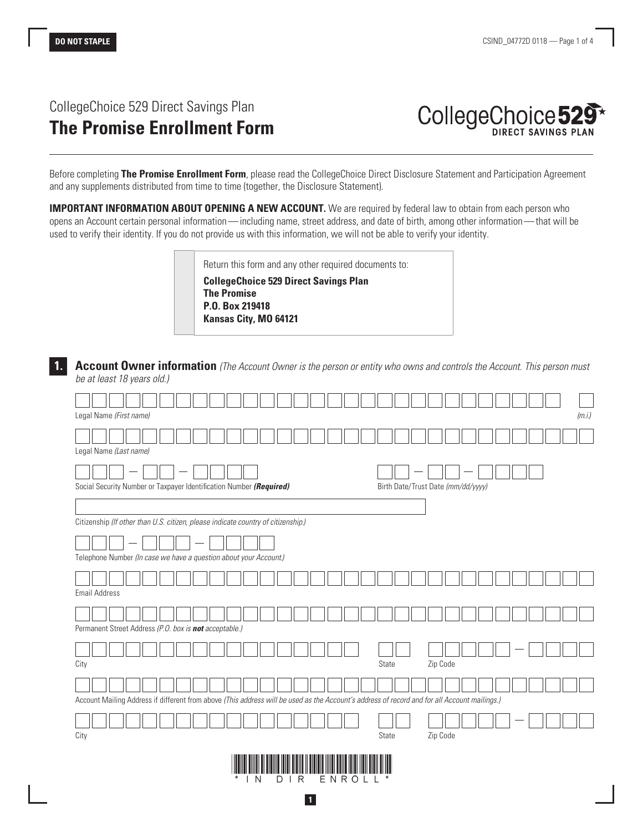# CollegeChoice 529 Direct Savings Plan **The Promise Enrollment Form**

| CollegeChoice 529 <sup>*</sup> |  |
|--------------------------------|--|
|                                |  |

Before completing **The Promise Enrollment Form**, please read the CollegeChoice Direct Disclosure Statement and Participation Agreement and any supplements distributed from time to time (together, the Disclosure Statement).

**IMPORTANT INFORMATION ABOUT OPENING A NEW ACCOUNT.** We are required by federal law to obtain from each person who opens an Account certain personal information—including name, street address, and date of birth, among other information—that will be used to verify their identity. If you do not provide us with this information, we will not be able to verify your identity.

> Return this form and any other required documents to: **CollegeChoice 529 Direct Savings Plan The Promise P.O. Box 219418 Kansas City, MO 64121**

**1. Account Owner information** *(The Account Owner is the person or entity who owns and controls the Account. This person must be at least 18 years old.)*

| Legal Name (First name)                                                                                                                                | (m.i.)                             |  |  |  |  |  |
|--------------------------------------------------------------------------------------------------------------------------------------------------------|------------------------------------|--|--|--|--|--|
| Legal Name (Last name)                                                                                                                                 |                                    |  |  |  |  |  |
| Social Security Number or Taxpayer Identification Number (Required)                                                                                    | Birth Date/Trust Date (mm/dd/yyyy) |  |  |  |  |  |
| Citizenship (If other than U.S. citizen, please indicate country of citizenship.)<br>Telephone Number (In case we have a question about your Account.) |                                    |  |  |  |  |  |
| <b>Email Address</b>                                                                                                                                   |                                    |  |  |  |  |  |
| Permanent Street Address (P.O. box is not acceptable.)                                                                                                 |                                    |  |  |  |  |  |
| City                                                                                                                                                   | Zip Code<br>State                  |  |  |  |  |  |
| Account Mailing Address if different from above (This address will be used as the Account's address of record and for all Account mailings.)           |                                    |  |  |  |  |  |
| City                                                                                                                                                   | State<br>Zip Code                  |  |  |  |  |  |
| ENROL<br>N<br>IR<br>D                                                                                                                                  |                                    |  |  |  |  |  |

**1**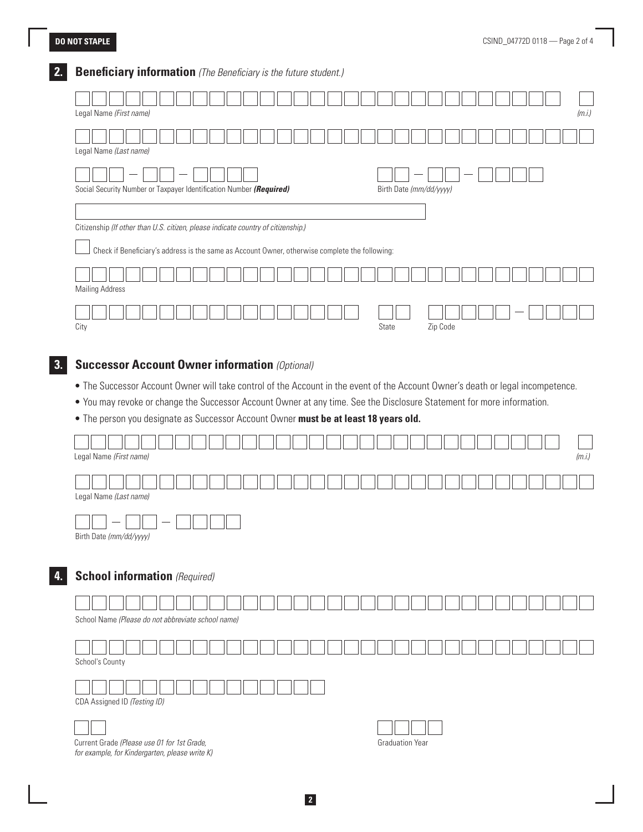# **2. Beneficiary information** *(The Beneficiary is the future student.)*

| Legal Name (First name)                                                                                                                                                             |                         | (m.i.) |  |  |  |
|-------------------------------------------------------------------------------------------------------------------------------------------------------------------------------------|-------------------------|--------|--|--|--|
| Legal Name (Last name)                                                                                                                                                              |                         |        |  |  |  |
| Social Security Number or Taxpayer Identification Number (Required)                                                                                                                 | Birth Date (mm/dd/yyyy) |        |  |  |  |
| Citizenship (If other than U.S. citizen, please indicate country of citizenship.)<br>Check if Beneficiary's address is the same as Account Owner, otherwise complete the following: |                         |        |  |  |  |
| <b>Mailing Address</b>                                                                                                                                                              |                         |        |  |  |  |
| City                                                                                                                                                                                | Zip Code<br>State       |        |  |  |  |

# **3. Successor Account Owner information** *(Optional)*

- The Successor Account Owner will take control of the Account in the event of the Account Owner's death or legal incompetence.
- You may revoke or change the Successor Account Owner at any time. See the Disclosure Statement for more information.
- The person you designate as Successor Account Owner **must be at least 18 years old.**

|    | (m.i.)<br>Legal Name (First name)                                                                                       |
|----|-------------------------------------------------------------------------------------------------------------------------|
|    | Legal Name (Last name)                                                                                                  |
|    | Birth Date (mm/dd/yyyy)                                                                                                 |
| 4. | <b>School information</b> (Required)                                                                                    |
|    | School Name (Please do not abbreviate school name)                                                                      |
|    | School's County                                                                                                         |
|    | CDA Assigned ID (Testing ID)                                                                                            |
|    | Current Grade (Please use 01 for 1st Grade,<br><b>Graduation Year</b><br>for example, for Kindergarten, please write K) |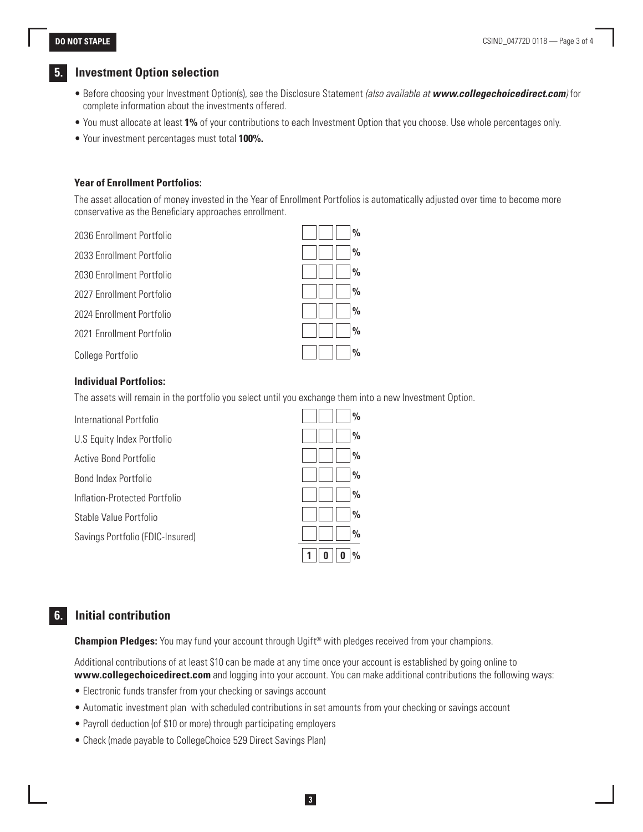#### **DO NOT STAPLE**

### **5. Investment Option selection**

- Before choosing your Investment Option(s), see the Disclosure Statement *(also available at www.collegechoicedirect.com)* for complete information about the investments offered.
- You must allocate at least **1%** of your contributions to each Investment Option that you choose. Use whole percentages only.
- Your investment percentages must total **100%.**

#### **Year of Enrollment Portfolios:**

The asset allocation of money invested in the Year of Enrollment Portfolios is automatically adjusted over time to become more conservative as the Beneficiary approaches enrollment.

2036 Enrollment Portfolio **%**

2033 Enrollment Portfolio **%**

2030 Enrollment Portfolio **%**

2027 Enrollment Portfolio **%**

2024 Enrollment Portfolio **%**

2021 Enrollment Portfolio **%**

College Portfolio **%**

#### **Individual Portfolios:**

The assets will remain in the portfolio you select until you exchange them into a new Investment Option.

International Portfolio **%** U.S Equity Index Portfolio **800 million 1996** Active Bond Portfolio **%** Bond Index Portfolio **%** Inflation-Protected Portfolio **%** Stable Value Portfolio **%** Savings Portfolio (FDIC-Insured) **% 1 0 0 %**

## **6. Initial contribution**

**Champion Pledges:** You may fund your account through Ugift® with pledges received from your champions.

Additional contributions of at least \$10 can be made at any time once your account is established by going online to **www.collegechoicedirect.com** and logging into your account. You can make additional contributions the following ways:

**3**

- Electronic funds transfer from your checking or savings account
- Automatic investment plan with scheduled contributions in set amounts from your checking or savings account
- Payroll deduction (of \$10 or more) through participating employers
- Check (made payable to CollegeChoice 529 Direct Savings Plan)